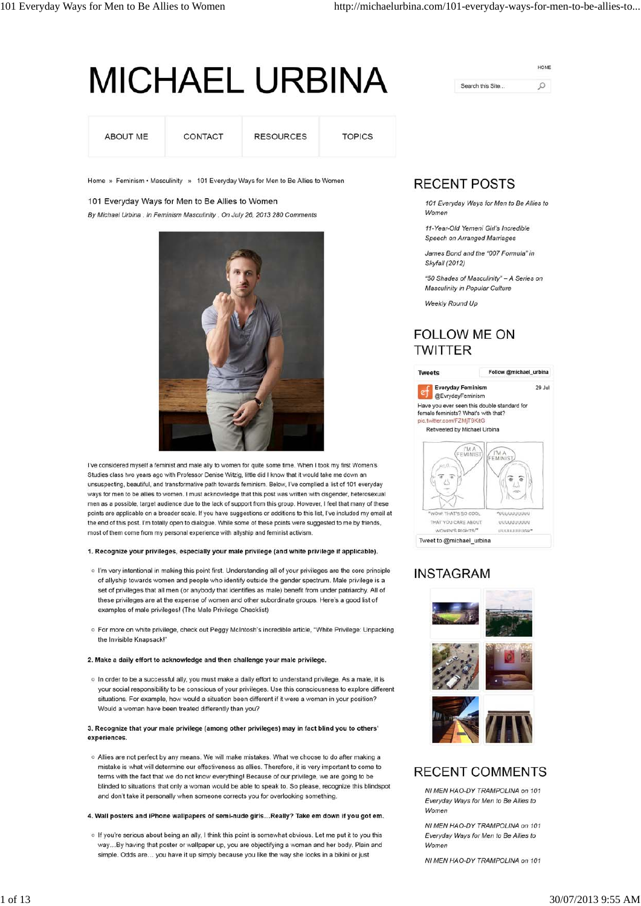# **MICHAEL URBINA**

| ABOUT ME<br>정원 이 보다 잘 보니 그 부모님은 정보의 | CONTACT | <b>RESOURCES</b> | <b>TOPICS</b> |
|-------------------------------------|---------|------------------|---------------|
|                                     |         |                  |               |

Home » Feminism • Masculinity » 101 Everyday Ways for Men to Be Allies to Women

# 101 Everyday Ways for Men to Be Allies to Women By Michael Urbina . In Feminism Masculinity . On July 26, 2013 280 Comments



I've considered myself a feminist and male ally to women for quite some time. When I took my first Women's Studies class two years ago with Professor Denise Witzig, little did I know that it would take me down an unsuspecting, beautiful, and transformative path towards feminism. Below, I've complied a list of 101 everyday ways for men to be allies to women. I must acknowledge that this post was written with cisgender, heterosexual men as a possible, target audience due to the lack of support from this group. However, I feel that many of these points are applicable on a broader scale. If you have suggestions or additions to this list, I've included my email at the end of this post. I'm totally open to dialogue. While some of these points were suggested to me by friends, most of them come from my personal experience with allyship and feminist activism.

## 1. Recognize your privileges, especially your male privilege (and white privilege if applicable).

- o I'm very intentional in making this point first. Understanding all of your privileges are the core principle of allyship towards women and people who identify outside the gender spectrum. Male privilege is a set of privileges that all men (or anybody that identifies as male) benefit from under patriarchy. All of these privileges are at the expense of women and other subordinate groups. Here's a good list of examples of male privileges! (The Male Privilege Checklist)
- o For more on white privilege, check out Peggy McIntosh's incredible article, "White Privilege: Unpacking the Invisible Knapsack!'

## 2. Make a daily effort to acknowledge and then challenge your male privilege.

o In order to be a successful ally, you must make a daily effort to understand privilege. As a male, it is your social responsibility to be conscious of your privileges. Use this consciousness to explore different situations. For example, how would a situation been different if it were a woman in your position? Would a woman have been treated differently than you?

#### 3. Recognize that your male privilege (among other privileges) may in fact blind you to others' experiences.

o Allies are not perfect by any means. We will make mistakes. What we choose to do after making a mistake is what will determine our effectiveness as allies. Therefore, it is very important to come to terms with the fact that we do not know everything! Because of our privilege, we are going to be blinded to situations that only a woman would be able to speak to. So please, recognize this blindspot and don't take it personally when someone corrects you for overlooking something.

# 4. Wall posters and iPhone wallpapers of semi-nude girls... Really? Take em down if you got em.

o If you're serious about being an ally, I think this point is somewhat obvious. Let me put it to you this way...By having that poster or wallpaper up, you are objectifying a woman and her body. Plain and simple. Odds are... you have it up simply because you like the way she looks in a bikini or just

# HOME  $\circ$ Search this Site...

# **RECENT POSTS**

101 Everyday Ways for Men to Be Allies to Women

11-Year-Old Yemeni Girl's Incredible Speech on Arranged Marriages

James Bond and the "007 Formula" in Skyfall (2012)

"50 Shades of Masculinity" - A Series on Masculinity in Popular Culture

Weekly Round Up

# **FOLLOW ME ON TWITTER**



# **INSTAGRAM**





# **RECENT COMMENTS**

NI MEN HAO-DY TRAMPOLINA on 101 Everyday Ways for Men to Be Allies to Women

NI MEN HAO-DY TRAMPOLINA on 101 Everyday Ways for Men to Be Allies to Women

NI MEN HAO-DY TRAMPOLINA on 101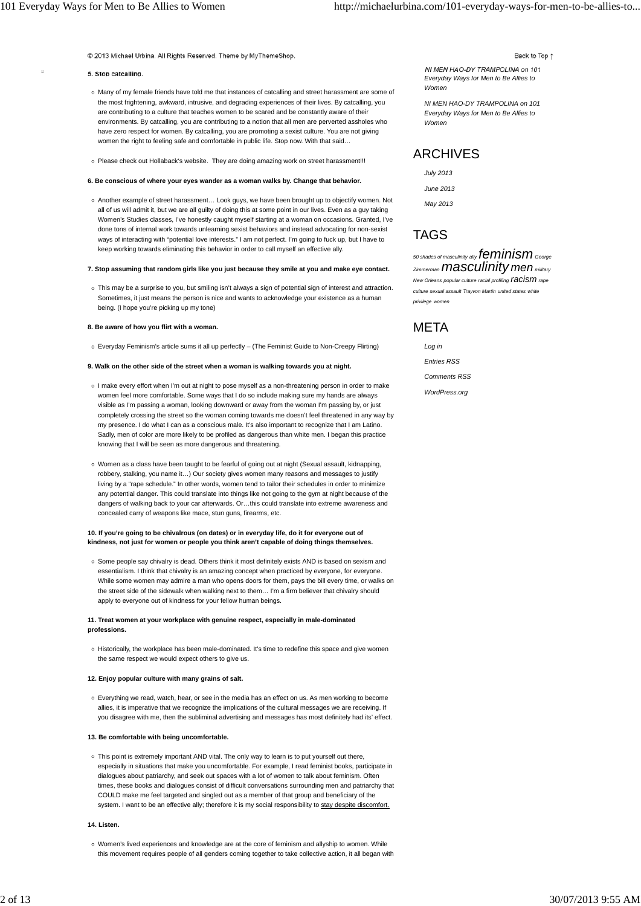© 2013 Michael Urbina. All Rights Reserved. Theme by MyThemeShop.

#### **5. Stop catcalling.**

- Many of my female friends have told me that instances of catcalling and street harassment are some of the most frightening, awkward, intrusive, and degrading experiences of their lives. By catcalling, you are contributing to a culture that teaches women to be scared and be constantly aware of their environments. By catcalling, you are contributing to a notion that all men are perverted assholes who have zero respect for women. By catcalling, you are promoting a sexist culture. You are not giving women the right to feeling safe and comfortable in public life. Stop now. With that said...
- Please check out Hollaback's website. They are doing amazing work on street harassment!!!

#### **6. Be conscious of where your eyes wander as a woman walks by. Change that behavior.**

Another example of street harassment… Look guys, we have been brought up to objectify women. Not all of us will admit it, but we are all guilty of doing this at some point in our lives. Even as a guy taking Women's Studies classes, I've honestly caught myself starting at a woman on occasions. Granted, I've done tons of internal work towards unlearning sexist behaviors and instead advocating for non-sexist ways of interacting with "potential love interests." I am not perfect. I'm going to fuck up, but I have to keep working towards eliminating this behavior in order to call myself an effective ally.

#### **7. Stop assuming that random girls like you just because they smile at you and make eye contact.**

This may be a surprise to you, but smiling isn't always a sign of potential sign of interest and attraction. Sometimes, it just means the person is nice and wants to acknowledge your existence as a human being. (I hope you're picking up my tone)

#### **8. Be aware of how you flirt with a woman.**

Everyday Feminism's article sums it all up perfectly – (The Feminist Guide to Non-Creepy Flirting)

#### **9. Walk on the other side of the street when a woman is walking towards you at night.**

- o I make every effort when I'm out at night to pose myself as a non-threatening person in order to make women feel more comfortable. Some ways that I do so include making sure my hands are always visible as I'm passing a woman, looking downward or away from the woman I'm passing by, or just completely crossing the street so the woman coming towards me doesn't feel threatened in any way by my presence. I do what I can as a conscious male. It's also important to recognize that I am Latino. Sadly, men of color are more likely to be profiled as dangerous than white men. I began this practice knowing that I will be seen as more dangerous and threatening.
- o Women as a class have been taught to be fearful of going out at night (Sexual assault, kidnapping, robbery, stalking, you name it…) Our society gives women many reasons and messages to justify living by a "rape schedule." In other words, women tend to tailor their schedules in order to minimize any potential danger. This could translate into things like not going to the gym at night because of the dangers of walking back to your car afterwards. Or…this could translate into extreme awareness and concealed carry of weapons like mace, stun guns, firearms, etc.

#### **10. If you're going to be chivalrous (on dates) or in everyday life, do it for everyone out of kindness, not just for women or people you think aren't capable of doing things themselves.**

o Some people say chivalry is dead. Others think it most definitely exists AND is based on sexism and essentialism. I think that chivalry is an amazing concept when practiced by everyone, for everyone. While some women may admire a man who opens doors for them, pays the bill every time, or walks on the street side of the sidewalk when walking next to them… I'm a firm believer that chivalry should apply to everyone out of kindness for your fellow human beings.

#### **11. Treat women at your workplace with genuine respect, especially in male-dominated professions.**

o Historically, the workplace has been male-dominated. It's time to redefine this space and give women the same respect we would expect others to give us.

#### **12. Enjoy popular culture with many grains of salt.**

Everything we read, watch, hear, or see in the media has an effect on us. As men working to become allies, it is imperative that we recognize the implications of the cultural messages we are receiving. If you disagree with me, then the subliminal advertising and messages has most definitely had its' effect.

#### **13. Be comfortable with being uncomfortable.**

○ This point is extremely important AND vital. The only way to learn is to put yourself out there, especially in situations that make you uncomfortable. For example, I read feminist books, participate in dialogues about patriarchy, and seek out spaces with a lot of women to talk about feminism. Often times, these books and dialogues consist of difficult conversations surrounding men and patriarchy that COULD make me feel targeted and singled out as a member of that group and beneficiary of the system. I want to be an effective ally; therefore it is my social responsibility to stay despite discomfort.

#### **14. Listen.**

Women's lived experiences and knowledge are at the core of feminism and allyship to women. While this movement requires people of all genders coming together to take collective action, it all began with Back to Top 1

NI MEN HAO-DY TRAMPOLINA on 101 *Everyday Ways for Men to Be Allies to Women*

*NI MEN HAO-DY TRAMPOLINA on 101 Everyday Ways for Men to Be Allies to Women*

# ARCHIVES

*July 2013*

*June 2013*

*May 2013*

# TAGS

*50 shades of masculinity ally* **feminism** George *Zimmermanmasculinity men military New Orleans popular culture racial profiling racism rape culture sexual assault Trayvon Martin united states white privilege women*

## **MFTA**

*Log in Entries RSS Comments RSS*

*WordPress.org*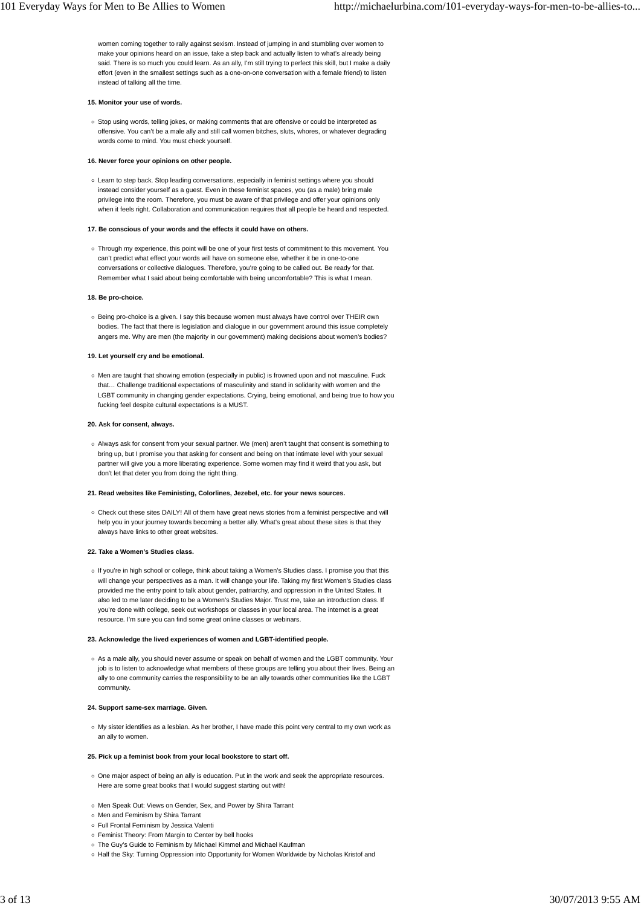women coming together to rally against sexism. Instead of jumping in and stumbling over women to make your opinions heard on an issue, take a step back and actually listen to what's already being said. There is so much you could learn. As an ally, I'm still trying to perfect this skill, but I make a daily effort (even in the smallest settings such as a one-on-one conversation with a female friend) to listen instead of talking all the time.

#### **15. Monitor your use of words.**

Stop using words, telling jokes, or making comments that are offensive or could be interpreted as offensive. You can't be a male ally and still call women bitches, sluts, whores, or whatever degrading words come to mind. You must check yourself.

#### **16. Never force your opinions on other people.**

Learn to step back. Stop leading conversations, especially in feminist settings where you should instead consider yourself as a guest. Even in these feminist spaces, you (as a male) bring male privilege into the room. Therefore, you must be aware of that privilege and offer your opinions only when it feels right. Collaboration and communication requires that all people be heard and respected.

#### **17. Be conscious of your words and the effects it could have on others.**

Through my experience, this point will be one of your first tests of commitment to this movement. You can't predict what effect your words will have on someone else, whether it be in one-to-one conversations or collective dialogues. Therefore, you're going to be called out. Be ready for that. Remember what I said about being comfortable with being uncomfortable? This is what I mean.

#### **18. Be pro-choice.**

o Being pro-choice is a given. I say this because women must always have control over THEIR own bodies. The fact that there is legislation and dialogue in our government around this issue completely angers me. Why are men (the majority in our government) making decisions about women's bodies?

#### **19. Let yourself cry and be emotional.**

Men are taught that showing emotion (especially in public) is frowned upon and not masculine. Fuck that… Challenge traditional expectations of masculinity and stand in solidarity with women and the LGBT community in changing gender expectations. Crying, being emotional, and being true to how you fucking feel despite cultural expectations is a MUST.

#### **20. Ask for consent, always.**

Always ask for consent from your sexual partner. We (men) aren't taught that consent is something to bring up, but I promise you that asking for consent and being on that intimate level with your sexual partner will give you a more liberating experience. Some women may find it weird that you ask, but don't let that deter you from doing the right thing.

#### **21. Read websites like Feministing, Colorlines, Jezebel, etc. for your news sources.**

Check out these sites DAILY! All of them have great news stories from a feminist perspective and will help you in your journey towards becoming a better ally. What's great about these sites is that they always have links to other great websites.

#### **22. Take a Women's Studies class.**

o If you're in high school or college, think about taking a Women's Studies class. I promise you that this will change your perspectives as a man. It will change your life. Taking my first Women's Studies class provided me the entry point to talk about gender, patriarchy, and oppression in the United States. It also led to me later deciding to be a Women's Studies Major. Trust me, take an introduction class. If you're done with college, seek out workshops or classes in your local area. The internet is a great resource. I'm sure you can find some great online classes or webinars.

#### **23. Acknowledge the lived experiences of women and LGBT-identified people.**

As a male ally, you should never assume or speak on behalf of women and the LGBT community. Your job is to listen to acknowledge what members of these groups are telling you about their lives. Being an ally to one community carries the responsibility to be an ally towards other communities like the LGBT community.

#### **24. Support same-sex marriage. Given.**

My sister identifies as a lesbian. As her brother, I have made this point very central to my own work as an ally to women.

#### **25. Pick up a feminist book from your local bookstore to start off.**

- o One major aspect of being an ally is education. Put in the work and seek the appropriate resources. Here are some great books that I would suggest starting out with!
- o Men Speak Out: Views on Gender, Sex, and Power by Shira Tarrant
- o Men and Feminism by Shira Tarrant
- Full Frontal Feminism by Jessica Valenti
- o Feminist Theory: From Margin to Center by bell hooks
- The Guy's Guide to Feminism by Michael Kimmel and Michael Kaufman
- o Half the Sky: Turning Oppression into Opportunity for Women Worldwide by Nicholas Kristof and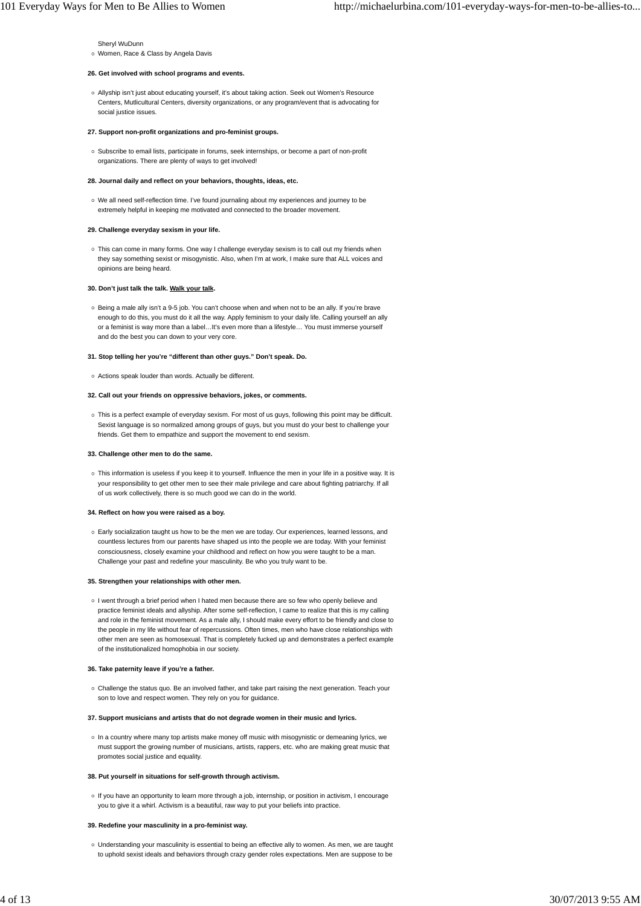Sheryl WuDunn o Women, Race & Class by Angela Davis

## **26. Get involved with school programs and events.**

Allyship isn't just about educating yourself, it's about taking action. Seek out Women's Resource Centers, Mutlicultural Centers, diversity organizations, or any program/event that is advocating for social justice issues.

#### **27. Support non-profit organizations and pro-feminist groups.**

o Subscribe to email lists, participate in forums, seek internships, or become a part of non-profit organizations. There are plenty of ways to get involved!

#### **28. Journal daily and reflect on your behaviors, thoughts, ideas, etc.**

We all need self-reflection time. I've found journaling about my experiences and journey to be extremely helpful in keeping me motivated and connected to the broader movement.

#### **29. Challenge everyday sexism in your life.**

This can come in many forms. One way I challenge everyday sexism is to call out my friends when they say something sexist or misogynistic. Also, when I'm at work, I make sure that ALL voices and opinions are being heard.

#### **30. Don't just talk the talk. Walk your talk.**

Being a male ally isn't a 9-5 job. You can't choose when and when not to be an ally. If you're brave enough to do this, you must do it all the way. Apply feminism to your daily life. Calling yourself an ally or a feminist is way more than a label…It's even more than a lifestyle… You must immerse yourself and do the best you can down to your very core.

#### **31. Stop telling her you're "different than other guys." Don't speak. Do.**

Actions speak louder than words. Actually be different.

#### **32. Call out your friends on oppressive behaviors, jokes, or comments.**

This is a perfect example of everyday sexism. For most of us guys, following this point may be difficult. Sexist language is so normalized among groups of guys, but you must do your best to challenge your friends. Get them to empathize and support the movement to end sexism.

#### **33. Challenge other men to do the same.**

This information is useless if you keep it to yourself. Influence the men in your life in a positive way. It is your responsibility to get other men to see their male privilege and care about fighting patriarchy. If all of us work collectively, there is so much good we can do in the world.

#### **34. Reflect on how you were raised as a boy.**

Early socialization taught us how to be the men we are today. Our experiences, learned lessons, and countless lectures from our parents have shaped us into the people we are today. With your feminist consciousness, closely examine your childhood and reflect on how you were taught to be a man. Challenge your past and redefine your masculinity. Be who you truly want to be.

#### **35. Strengthen your relationships with other men.**

o I went through a brief period when I hated men because there are so few who openly believe and practice feminist ideals and allyship. After some self-reflection, I came to realize that this is my calling and role in the feminist movement. As a male ally, I should make every effort to be friendly and close to the people in my life without fear of repercussions. Often times, men who have close relationships with other men are seen as homosexual. That is completely fucked up and demonstrates a perfect example of the institutionalized homophobia in our society.

#### **36. Take paternity leave if you're a father.**

Challenge the status quo. Be an involved father, and take part raising the next generation. Teach your son to love and respect women. They rely on you for guidance.

#### **37. Support musicians and artists that do not degrade women in their music and lyrics.**

o In a country where many top artists make money off music with misogynistic or demeaning lyrics, we must support the growing number of musicians, artists, rappers, etc. who are making great music that promotes social justice and equality.

#### **38. Put yourself in situations for self-growth through activism.**

If you have an opportunity to learn more through a job, internship, or position in activism, I encourage you to give it a whirl. Activism is a beautiful, raw way to put your beliefs into practice.

#### **39. Redefine your masculinity in a pro-feminist way.**

Understanding your masculinity is essential to being an effective ally to women. As men, we are taught to uphold sexist ideals and behaviors through crazy gender roles expectations. Men are suppose to be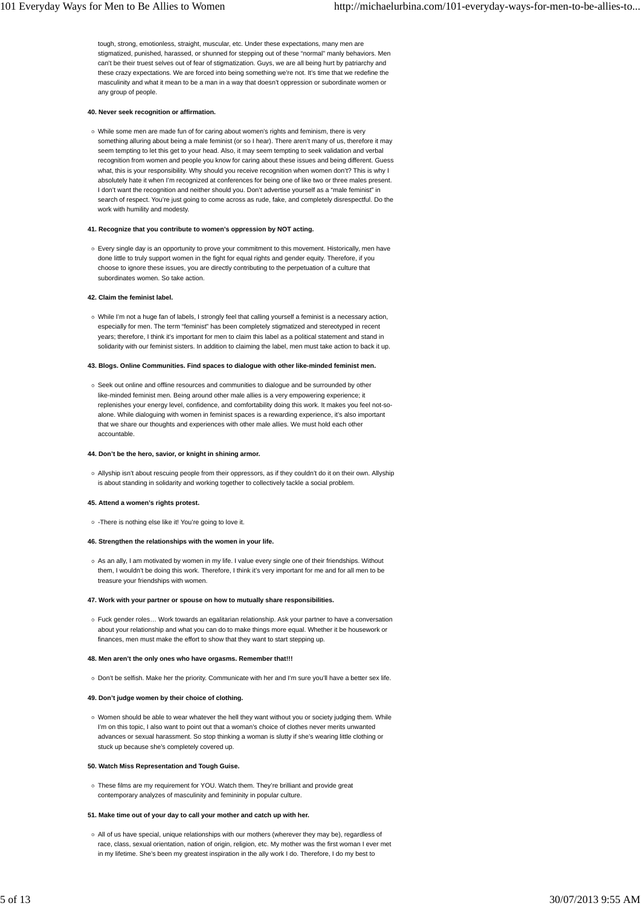tough, strong, emotionless, straight, muscular, etc. Under these expectations, many men are stigmatized, punished, harassed, or shunned for stepping out of these "normal" manly behaviors. Men can't be their truest selves out of fear of stigmatization. Guys, we are all being hurt by patriarchy and these crazy expectations. We are forced into being something we're not. It's time that we redefine the masculinity and what it mean to be a man in a way that doesn't oppression or subordinate women or any group of people.

#### **40. Never seek recognition or affirmation.**

While some men are made fun of for caring about women's rights and feminism, there is very something alluring about being a male feminist (or so I hear). There aren't many of us, therefore it may seem tempting to let this get to your head. Also, it may seem tempting to seek validation and verbal recognition from women and people you know for caring about these issues and being different. Guess what, this is your responsibility. Why should you receive recognition when women don't? This is why I absolutely hate it when I'm recognized at conferences for being one of like two or three males present. I don't want the recognition and neither should you. Don't advertise yourself as a "male feminist" in search of respect. You're just going to come across as rude, fake, and completely disrespectful. Do the work with humility and modesty.

#### **41. Recognize that you contribute to women's oppression by NOT acting.**

Every single day is an opportunity to prove your commitment to this movement. Historically, men have done little to truly support women in the fight for equal rights and gender equity. Therefore, if you choose to ignore these issues, you are directly contributing to the perpetuation of a culture that subordinates women. So take action.

#### **42. Claim the feminist label.**

o While I'm not a huge fan of labels, I strongly feel that calling yourself a feminist is a necessary action, especially for men. The term "feminist" has been completely stigmatized and stereotyped in recent years; therefore, I think it's important for men to claim this label as a political statement and stand in solidarity with our feminist sisters. In addition to claiming the label, men must take action to back it up.

#### **43. Blogs. Online Communities. Find spaces to dialogue with other like-minded feminist men.**

o Seek out online and offline resources and communities to dialogue and be surrounded by other like-minded feminist men. Being around other male allies is a very empowering experience; it replenishes your energy level, confidence, and comfortability doing this work. It makes you feel not-soalone. While dialoguing with women in feminist spaces is a rewarding experience, it's also important that we share our thoughts and experiences with other male allies. We must hold each other accountable.

#### **44. Don't be the hero, savior, or knight in shining armor.**

Allyship isn't about rescuing people from their oppressors, as if they couldn't do it on their own. Allyship is about standing in solidarity and working together to collectively tackle a social problem.

#### **45. Attend a women's rights protest.**

-There is nothing else like it! You're going to love it.

#### **46. Strengthen the relationships with the women in your life.**

As an ally, I am motivated by women in my life. I value every single one of their friendships. Without them, I wouldn't be doing this work. Therefore, I think it's very important for me and for all men to be treasure your friendships with women.

#### **47. Work with your partner or spouse on how to mutually share responsibilities.**

Fuck gender roles… Work towards an egalitarian relationship. Ask your partner to have a conversation about your relationship and what you can do to make things more equal. Whether it be housework or finances, men must make the effort to show that they want to start stepping up.

#### **48. Men aren't the only ones who have orgasms. Remember that!!!**

o Don't be selfish. Make her the priority. Communicate with her and I'm sure you'll have a better sex life.

#### **49. Don't judge women by their choice of clothing.**

Women should be able to wear whatever the hell they want without you or society judging them. While I'm on this topic, I also want to point out that a woman's choice of clothes never merits unwanted advances or sexual harassment. So stop thinking a woman is slutty if she's wearing little clothing or stuck up because she's completely covered up.

#### **50. Watch Miss Representation and Tough Guise.**

These films are my requirement for YOU. Watch them. They're brilliant and provide great contemporary analyzes of masculinity and femininity in popular culture.

#### **51. Make time out of your day to call your mother and catch up with her.**

All of us have special, unique relationships with our mothers (wherever they may be), regardless of race, class, sexual orientation, nation of origin, religion, etc. My mother was the first woman I ever met in my lifetime. She's been my greatest inspiration in the ally work I do. Therefore, I do my best to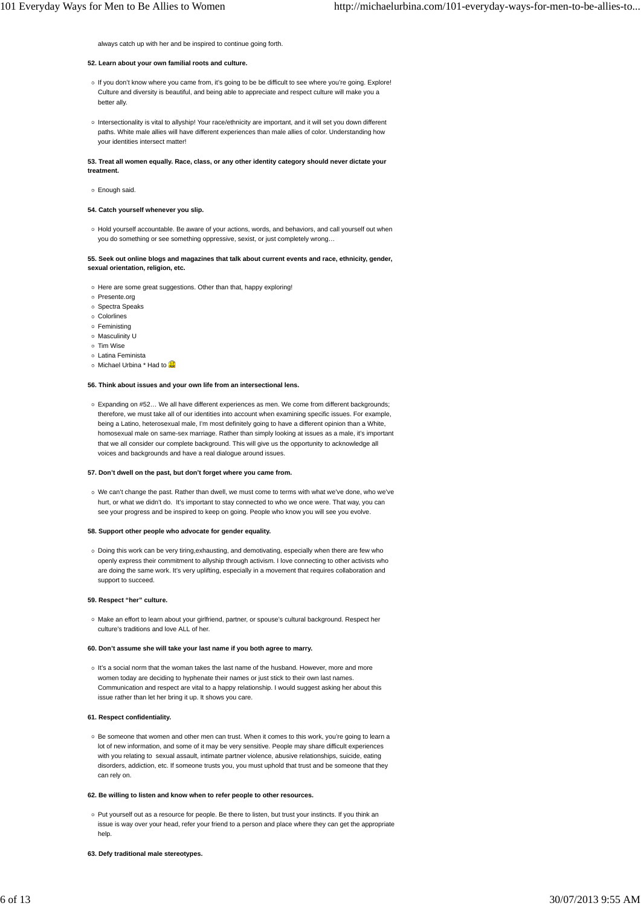always catch up with her and be inspired to continue going forth.

#### **52. Learn about your own familial roots and culture.**

- o If you don't know where you came from, it's going to be be difficult to see where you're going. Explore! Culture and diversity is beautiful, and being able to appreciate and respect culture will make you a better ally
- Intersectionality is vital to allyship! Your race/ethnicity are important, and it will set you down different paths. White male allies will have different experiences than male allies of color. Understanding how your identities intersect matter!

#### **53. Treat all women equally. Race, class, or any other identity category should never dictate your treatment.**

Enough said.

#### **54. Catch yourself whenever you slip.**

o Hold yourself accountable. Be aware of your actions, words, and behaviors, and call yourself out when you do something or see something oppressive, sexist, or just completely wrong…

#### **55. Seek out online blogs and magazines that talk about current events and race, ethnicity, gender, sexual orientation, religion, etc.**

- o Here are some great suggestions. Other than that, happy exploring!
- Presente.org
- Spectra Speaks
- Colorlines
- Feministing
- o Masculinity U
- o Tim Wise
- Latina Feminista
- o Michael Urbina \* Had to

#### **56. Think about issues and your own life from an intersectional lens.**

Expanding on #52… We all have different experiences as men. We come from different backgrounds; therefore, we must take all of our identities into account when examining specific issues. For example, being a Latino, heterosexual male, I'm most definitely going to have a different opinion than a White, homosexual male on same-sex marriage. Rather than simply looking at issues as a male, it's important that we all consider our complete background. This will give us the opportunity to acknowledge all voices and backgrounds and have a real dialogue around issues.

#### **57. Don't dwell on the past, but don't forget where you came from.**

We can't change the past. Rather than dwell, we must come to terms with what we've done, who we've hurt, or what we didn't do. It's important to stay connected to who we once were. That way, you can see your progress and be inspired to keep on going. People who know you will see you evolve.

#### **58. Support other people who advocate for gender equality.**

Doing this work can be very tiring,exhausting, and demotivating, especially when there are few who openly express their commitment to allyship through activism. I love connecting to other activists who are doing the same work. It's very uplifting, especially in a movement that requires collaboration and support to succeed.

#### **59. Respect "her" culture.**

Make an effort to learn about your girlfriend, partner, or spouse's cultural background. Respect her culture's traditions and love ALL of her.

#### **60. Don't assume she will take your last name if you both agree to marry.**

It's a social norm that the woman takes the last name of the husband. However, more and more women today are deciding to hyphenate their names or just stick to their own last names. Communication and respect are vital to a happy relationship. I would suggest asking her about this issue rather than let her bring it up. It shows you care.

#### **61. Respect confidentiality.**

o Be someone that women and other men can trust. When it comes to this work, you're going to learn a lot of new information, and some of it may be very sensitive. People may share difficult experiences with you relating to sexual assault, intimate partner violence, abusive relationships, suicide, eating disorders, addiction, etc. If someone trusts you, you must uphold that trust and be someone that they can rely on.

#### **62. Be willing to listen and know when to refer people to other resources.**

Put yourself out as a resource for people. Be there to listen, but trust your instincts. If you think an issue is way over your head, refer your friend to a person and place where they can get the appropriate help.

#### **63. Defy traditional male stereotypes.**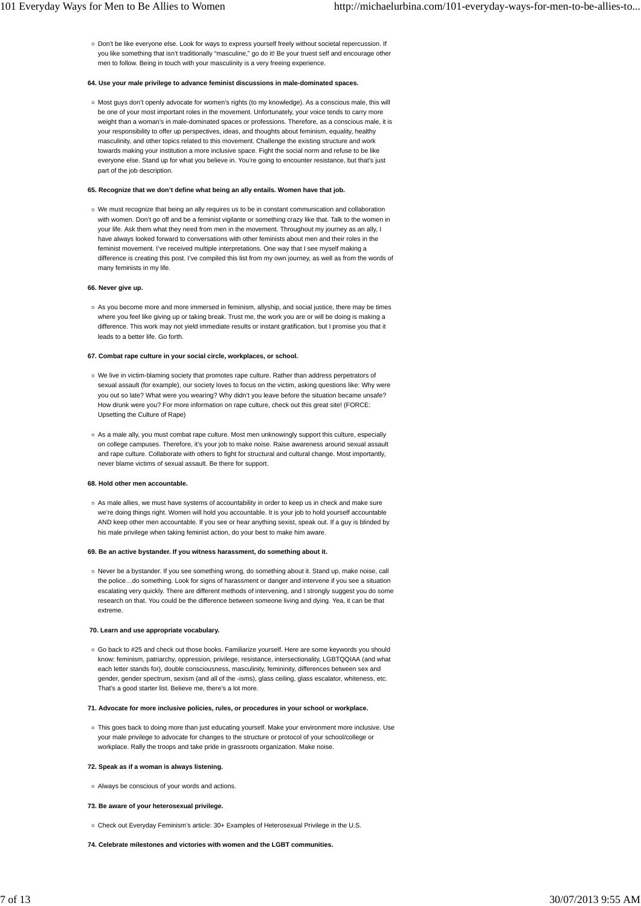Don't be like everyone else. Look for ways to express yourself freely without societal repercussion. If you like something that isn't traditionally "masculine," go do it! Be your truest self and encourage other men to follow. Being in touch with your masculinity is a very freeing experience.

#### **64. Use your male privilege to advance feminist discussions in male-dominated spaces.**

o Most guys don't openly advocate for women's rights (to my knowledge). As a conscious male, this will be one of your most important roles in the movement. Unfortunately, your voice tends to carry more weight than a woman's in male-dominated spaces or professions. Therefore, as a conscious male, it is your responsibility to offer up perspectives, ideas, and thoughts about feminism, equality, healthy masculinity, and other topics related to this movement. Challenge the existing structure and work towards making your institution a more inclusive space. Fight the social norm and refuse to be like everyone else. Stand up for what you believe in. You're going to encounter resistance, but that's just part of the job description.

#### **65. Recognize that we don't define what being an ally entails. Women have that job.**

We must recognize that being an ally requires us to be in constant communication and collaboration with women. Don't go off and be a feminist vigilante or something crazy like that. Talk to the women in your life. Ask them what they need from men in the movement. Throughout my journey as an ally, I have always looked forward to conversations with other feminists about men and their roles in the feminist movement. I've received multiple interpretations. One way that I see myself making a difference is creating this post. I've compiled this list from my own journey, as well as from the words of many feminists in my life.

#### **66. Never give up.**

As you become more and more immersed in feminism, allyship, and social justice, there may be times where you feel like giving up or taking break. Trust me, the work you are or will be doing is making a difference. This work may not yield immediate results or instant gratification, but I promise you that it leads to a better life. Go forth.

#### **67. Combat rape culture in your social circle, workplaces, or school.**

- We live in victim-blaming society that promotes rape culture. Rather than address perpetrators of sexual assault (for example), our society loves to focus on the victim, asking questions like: Why were you out so late? What were you wearing? Why didn't you leave before the situation became unsafe? How drunk were you? For more information on rape culture, check out this great site! (FORCE: Upsetting the Culture of Rape)
- o As a male ally, you must combat rape culture. Most men unknowingly support this culture, especially on college campuses. Therefore, it's your job to make noise. Raise awareness around sexual assault and rape culture. Collaborate with others to fight for structural and cultural change. Most importantly, never blame victims of sexual assault. Be there for support.

#### **68. Hold other men accountable.**

As male allies, we must have systems of accountability in order to keep us in check and make sure we're doing things right. Women will hold you accountable. It is your job to hold yourself accountable AND keep other men accountable. If you see or hear anything sexist, speak out. If a guy is blinded by his male privilege when taking feminist action, do your best to make him aware.

#### **69. Be an active bystander. If you witness harassment, do something about it.**

o Never be a bystander. If you see something wrong, do something about it. Stand up, make noise, call the police…do something. Look for signs of harassment or danger and intervene if you see a situation escalating very quickly. There are different methods of intervening, and I strongly suggest you do some research on that. You could be the difference between someone living and dying. Yea, it can be that extreme.

#### **70. Learn and use appropriate vocabulary.**

Go back to #25 and check out those books. Familiarize yourself. Here are some keywords you should know: feminism, patriarchy, oppression, privilege, resistance, intersectionality, LGBTQQIAA (and what each letter stands for), double consciousness, masculinity, femininity, differences between sex and gender, gender spectrum, sexism (and all of the -isms), glass ceiling, glass escalator, whiteness, etc. That's a good starter list. Believe me, there's a lot more.

#### **71. Advocate for more inclusive policies, rules, or procedures in your school or workplace.**

This goes back to doing more than just educating yourself. Make your environment more inclusive. Use your male privilege to advocate for changes to the structure or protocol of your school/college or workplace. Rally the troops and take pride in grassroots organization. Make noise.

#### **72. Speak as if a woman is always listening.**

Always be conscious of your words and actions.

#### **73. Be aware of your heterosexual privilege.**

- Check out Everyday Feminism's article: 30+ Examples of Heterosexual Privilege in the U.S.
- **74. Celebrate milestones and victories with women and the LGBT communities.**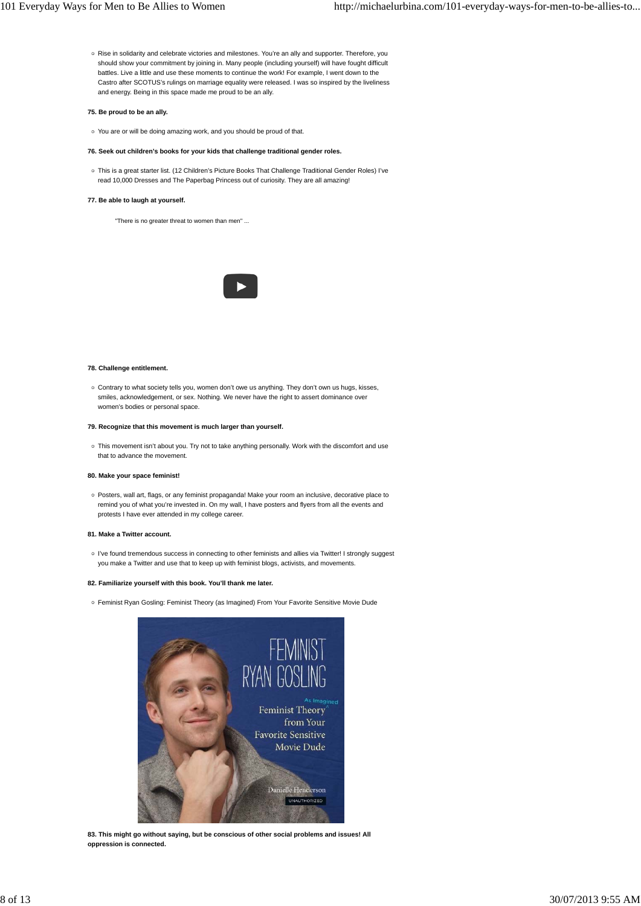Rise in solidarity and celebrate victories and milestones. You're an ally and supporter. Therefore, you should show your commitment by joining in. Many people (including yourself) will have fought difficult battles. Live a little and use these moments to continue the work! For example, I went down to the Castro after SCOTUS's rulings on marriage equality were released. I was so inspired by the liveliness and energy. Being in this space made me proud to be an ally.

#### **75. Be proud to be an ally.**

- You are or will be doing amazing work, and you should be proud of that.
- **76. Seek out children's books for your kids that challenge traditional gender roles.**
- This is a great starter list. (12 Children's Picture Books That Challenge Traditional Gender Roles) I've read 10,000 Dresses and The Paperbag Princess out of curiosity. They are all amazing!

#### **77. Be able to laugh at yourself.**

"There is no greater threat to women than men" ...



#### **78. Challenge entitlement.**

Contrary to what society tells you, women don't owe us anything. They don't own us hugs, kisses, smiles, acknowledgement, or sex. Nothing. We never have the right to assert dominance over women's bodies or personal space.

#### **79. Recognize that this movement is much larger than yourself.**

o This movement isn't about you. Try not to take anything personally. Work with the discomfort and use that to advance the movement.

#### **80. Make your space feminist!**

Posters, wall art, flags, or any feminist propaganda! Make your room an inclusive, decorative place to remind you of what you're invested in. On my wall, I have posters and flyers from all the events and protests I have ever attended in my college career.

#### **81. Make a Twitter account.**

I've found tremendous success in connecting to other feminists and allies via Twitter! I strongly suggest you make a Twitter and use that to keep up with feminist blogs, activists, and movements.

#### **82. Familiarize yourself with this book. You'll thank me later.**

Feminist Ryan Gosling: Feminist Theory (as Imagined) From Your Favorite Sensitive Movie Dude



**83. This might go without saying, but be conscious of other social problems and issues! All oppression is connected.**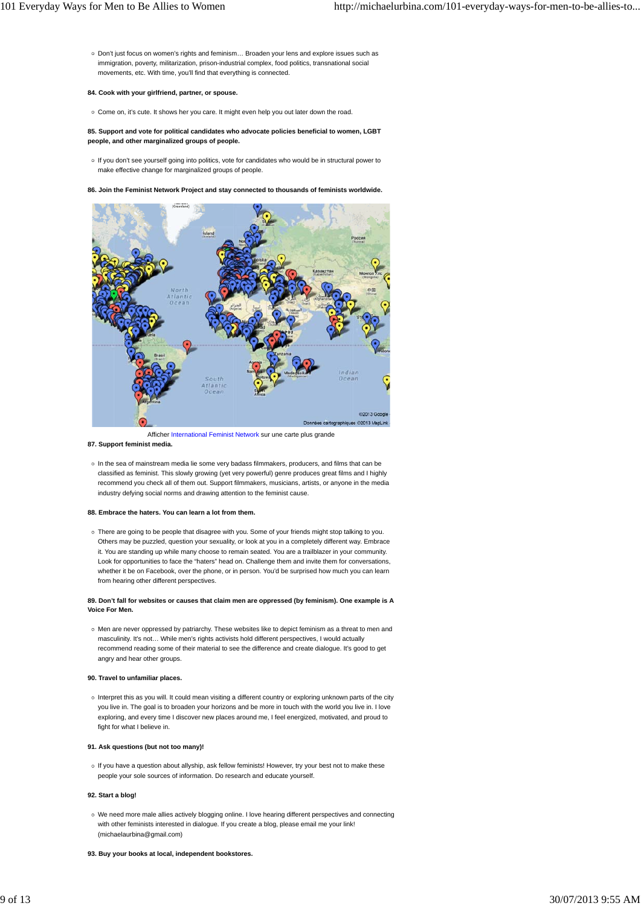Don't just focus on women's rights and feminism… Broaden your lens and explore issues such as immigration, poverty, militarization, prison-industrial complex, food politics, transnational social movements, etc. With time, you'll find that everything is connected.

#### **84. Cook with your girlfriend, partner, or spouse.**

o Come on, it's cute. It shows her you care. It might even help you out later down the road.

**85. Support and vote for political candidates who advocate policies beneficial to women, LGBT people, and other marginalized groups of people.**

o If you don't see yourself going into politics, vote for candidates who would be in structural power to make effective change for marginalized groups of people.

**86. Join the Feminist Network Project and stay connected to thousands of feminists worldwide.**



Afficher International Feminist Network sur une carte plus grande **87. Support feminist media.**

 $\circ$  In the sea of mainstream media lie some very badass filmmakers, producers, and films that can be classified as feminist. This slowly growing (yet very powerful) genre produces great films and I highly recommend you check all of them out. Support filmmakers, musicians, artists, or anyone in the media industry defying social norms and drawing attention to the feminist cause.

#### **88. Embrace the haters. You can learn a lot from them.**

There are going to be people that disagree with you. Some of your friends might stop talking to you. Others may be puzzled, question your sexuality, or look at you in a completely different way. Embrace it. You are standing up while many choose to remain seated. You are a trailblazer in your community. Look for opportunities to face the "haters" head on. Challenge them and invite them for conversations, whether it be on Facebook, over the phone, or in person. You'd be surprised how much you can learn from hearing other different perspectives.

#### **89. Don't fall for websites or causes that claim men are oppressed (by feminism). One example is A Voice For Men.**

Men are never oppressed by patriarchy. These websites like to depict feminism as a threat to men and masculinity. It's not… While men's rights activists hold different perspectives, I would actually recommend reading some of their material to see the difference and create dialogue. It's good to get angry and hear other groups.

#### **90. Travel to unfamiliar places.**

Interpret this as you will. It could mean visiting a different country or exploring unknown parts of the city you live in. The goal is to broaden your horizons and be more in touch with the world you live in. I love exploring, and every time I discover new places around me, I feel energized, motivated, and proud to fight for what I believe in.

#### **91. Ask questions (but not too many)!**

o If you have a question about allyship, ask fellow feminists! However, try your best not to make these people your sole sources of information. Do research and educate yourself.

#### **92. Start a blog!**

- We need more male allies actively blogging online. I love hearing different perspectives and connecting with other feminists interested in dialogue. If you create a blog, please email me your link! (michaelaurbina@gmail.com)
- **93. Buy your books at local, independent bookstores.**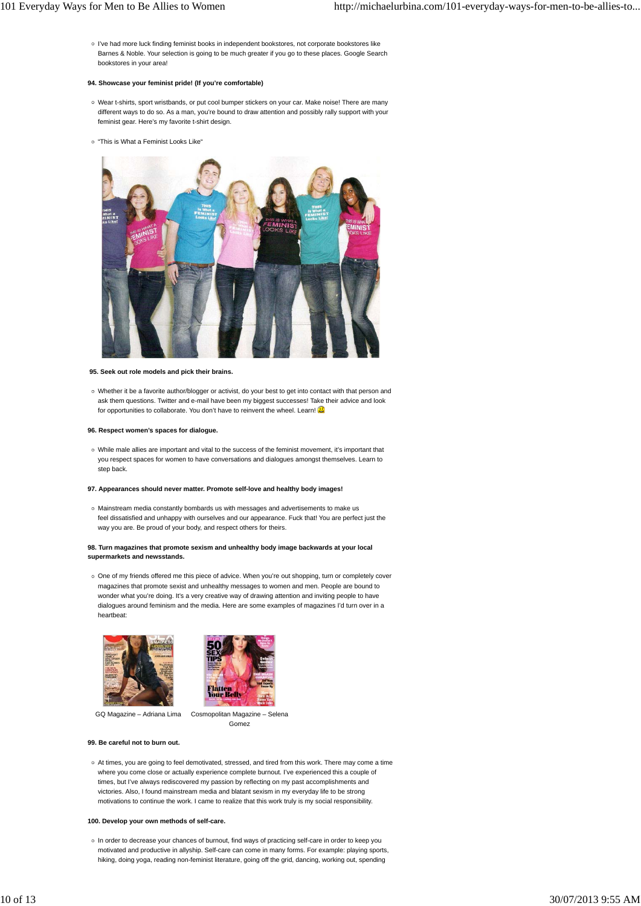I've had more luck finding feminist books in independent bookstores, not corporate bookstores like Barnes & Noble. Your selection is going to be much greater if you go to these places. Google Search bookstores in your area!

#### **94. Showcase your feminist pride! (If you're comfortable)**

- Wear t-shirts, sport wristbands, or put cool bumper stickers on your car. Make noise! There are many different ways to do so. As a man, you're bound to draw attention and possibly rally support with your feminist gear. Here's my favorite t-shirt design.
- o "This is What a Feminist Looks Like"



#### **95. Seek out role models and pick their brains.**

Whether it be a favorite author/blogger or activist, do your best to get into contact with that person and ask them questions. Twitter and e-mail have been my biggest successes! Take their advice and look for opportunities to collaborate. You don't have to reinvent the wheel. Learn!

#### **96. Respect women's spaces for dialogue.**

While male allies are important and vital to the success of the feminist movement, it's important that you respect spaces for women to have conversations and dialogues amongst themselves. Learn to step back.

#### **97. Appearances should never matter. Promote self-love and healthy body images!**

Mainstream media constantly bombards us with messages and advertisements to make us feel dissatisfied and unhappy with ourselves and our appearance. Fuck that! You are perfect just the way you are. Be proud of your body, and respect others for theirs.

#### **98. Turn magazines that promote sexism and unhealthy body image backwards at your local supermarkets and newsstands.**

One of my friends offered me this piece of advice. When you're out shopping, turn or completely cover magazines that promote sexist and unhealthy messages to women and men. People are bound to wonder what you're doing. It's a very creative way of drawing attention and inviting people to have dialogues around feminism and the media. Here are some examples of magazines I'd turn over in a heartbeat:





GQ Magazine – Adriana Lima Cosmopolitan Magazine – Selena

Gomez

#### **99. Be careful not to burn out.**

At times, you are going to feel demotivated, stressed, and tired from this work. There may come a time where you come close or actually experience complete burnout. I've experienced this a couple of times, but I've always rediscovered my passion by reflecting on my past accomplishments and victories. Also, I found mainstream media and blatant sexism in my everyday life to be strong motivations to continue the work. I came to realize that this work truly is my social responsibility.

#### **100. Develop your own methods of self-care.**

o In order to decrease your chances of burnout, find ways of practicing self-care in order to keep you motivated and productive in allyship. Self-care can come in many forms. For example: playing sports, hiking, doing yoga, reading non-feminist literature, going off the grid, dancing, working out, spending